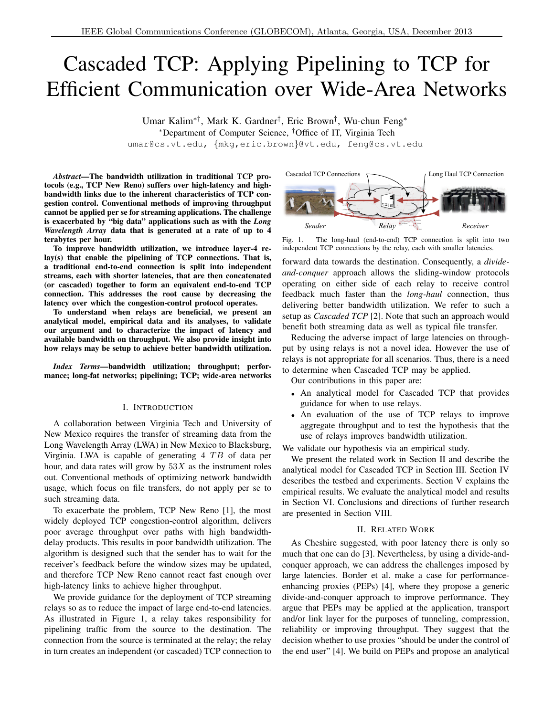# Cascaded TCP: Applying Pipelining to TCP for Efficient Communication over Wide-Area Networks

Umar Kalim∗†, Mark K. Gardner† , Eric Brown† , Wu-chun Feng<sup>∗</sup> <sup>∗</sup>Department of Computer Science, †Office of IT, Virginia Tech umar@cs.vt.edu, {mkg,eric.brown}@vt.edu, feng@cs.vt.edu

*Abstract*—The bandwidth utilization in traditional TCP protocols (e.g., TCP New Reno) suffers over high-latency and highbandwidth links due to the inherent characteristics of TCP congestion control. Conventional methods of improving throughput cannot be applied per se for streaming applications. The challenge is exacerbated by "big data" applications such as with the *Long Wavelength Array* data that is generated at a rate of up to 4 terabytes per hour.

To improve bandwidth utilization, we introduce layer-4 relay(s) that enable the pipelining of TCP connections. That is, a traditional end-to-end connection is split into independent streams, each with shorter latencies, that are then concatenated (or cascaded) together to form an equivalent end-to-end TCP connection. This addresses the root cause by decreasing the latency over which the congestion-control protocol operates.

To understand when relays are beneficial, we present an analytical model, empirical data and its analyses, to validate our argument and to characterize the impact of latency and available bandwidth on throughput. We also provide insight into how relays may be setup to achieve better bandwidth utilization.

*Index Terms*—bandwidth utilization; throughput; performance; long-fat networks; pipelining; TCP; wide-area networks

## I. INTRODUCTION

A collaboration between Virginia Tech and University of New Mexico requires the transfer of streaming data from the Long Wavelength Array (LWA) in New Mexico to Blacksburg, Virginia. LWA is capable of generating  $4$  TB of data per hour, and data rates will grow by  $53X$  as the instrument roles out. Conventional methods of optimizing network bandwidth usage, which focus on file transfers, do not apply per se to such streaming data.

To exacerbate the problem, TCP New Reno [1], the most widely deployed TCP congestion-control algorithm, delivers poor average throughput over paths with high bandwidthdelay products. This results in poor bandwidth utilization. The algorithm is designed such that the sender has to wait for the receiver's feedback before the window sizes may be updated, and therefore TCP New Reno cannot react fast enough over high-latency links to achieve higher throughput.

We provide guidance for the deployment of TCP streaming relays so as to reduce the impact of large end-to-end latencies. As illustrated in Figure 1, a relay takes responsibility for pipelining traffic from the source to the destination. The connection from the source is terminated at the relay; the relay in turn creates an independent (or cascaded) TCP connection to



Fig. 1. The long-haul (end-to-end) TCP connection is split into two independent TCP connections by the relay, each with smaller latencies.

forward data towards the destination. Consequently, a *divideand-conquer* approach allows the sliding-window protocols operating on either side of each relay to receive control feedback much faster than the *long-haul* connection, thus delivering better bandwidth utilization. We refer to such a setup as *Cascaded TCP* [2]. Note that such an approach would benefit both streaming data as well as typical file transfer.

Reducing the adverse impact of large latencies on throughput by using relays is not a novel idea. However the use of relays is not appropriate for all scenarios. Thus, there is a need to determine when Cascaded TCP may be applied.

Our contributions in this paper are:

- An analytical model for Cascaded TCP that provides guidance for when to use relays.
- An evaluation of the use of TCP relays to improve aggregate throughput and to test the hypothesis that the use of relays improves bandwidth utilization.

We validate our hypothesis via an empirical study.

We present the related work in Section II and describe the analytical model for Cascaded TCP in Section III. Section IV describes the testbed and experiments. Section V explains the empirical results. We evaluate the analytical model and results in Section VI. Conclusions and directions of further research are presented in Section VIII.

#### II. RELATED WORK

As Cheshire suggested, with poor latency there is only so much that one can do [3]. Nevertheless, by using a divide-andconquer approach, we can address the challenges imposed by large latencies. Border et al. make a case for performanceenhancing proxies (PEPs) [4], where they propose a generic divide-and-conquer approach to improve performance. They argue that PEPs may be applied at the application, transport and/or link layer for the purposes of tunneling, compression, reliability or improving throughput. They suggest that the decision whether to use proxies "should be under the control of the end user" [4]. We build on PEPs and propose an analytical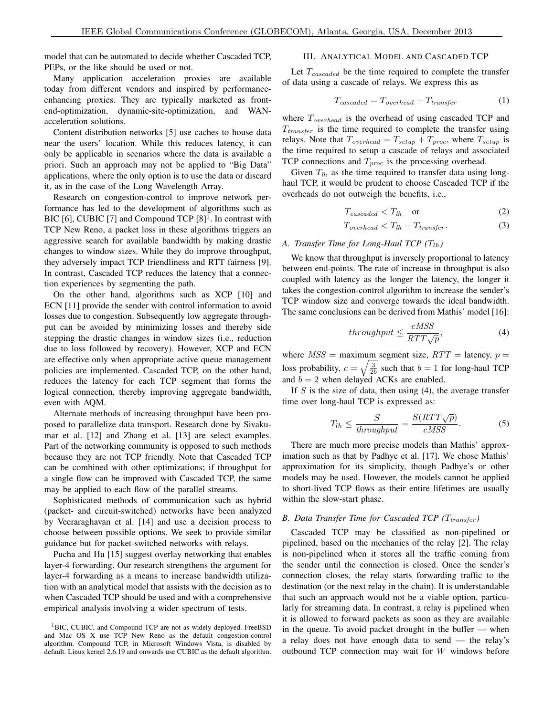model that can be automated to decide whether Cascaded TCP, PEPs, or the like should be used or not.

Many application acceleration proxies are available today from different vendors and inspired by performanceenhancing proxies. They are typically marketed as frontend-optimization, dynamic-site-optimization, and WANacceleration solutions.

Content distribution networks [5] use caches to house data near the users' location. While this reduces latency, it can only be applicable in scenarios where the data is available a priori. Such an approach may not be applied to "Big Data" applications, where the only option is to use the data or discard it, as in the case of the Long Wavelength Array.

Research on congestion-control to improve network performance has led to the development of algorithms such as BIC [6], CUBIC [7] and Compound TCP  $[8]$ <sup>1</sup>. In contrast with TCP New Reno, a packet loss in these algorithms triggers an aggressive search for available bandwidth by making drastic changes to window sizes. While they do improve throughput, they adversely impact TCP friendliness and RTT fairness [9]. In contrast, Cascaded TCP reduces the latency that a connection experiences by segmenting the path.

On the other hand, algorithms such as XCP [10] and ECN [11] provide the sender with control information to avoid losses due to congestion. Subsequently low aggregate throughput can be avoided by minimizing losses and thereby side stepping the drastic changes in window sizes (i.e., reduction due to loss followed by recovery). However, XCP and ECN are effective only when appropriate active queue management policies are implemented. Cascaded TCP, on the other hand, reduces the latency for each TCP segment that forms the logical connection, thereby improving aggregate bandwidth, even with AQM.

Alternate methods of increasing throughput have been proposed to parallelize data transport. Research done by Sivakumar et al. [12] and Zhang et al. [13] are select examples. Part of the networking community is opposed to such methods because they are not TCP friendly. Note that Cascaded TCP can be combined with other optimizations; if throughput for a single flow can be improved with Cascaded TCP, the same may be applied to each flow of the parallel streams.

Sophisticated methods of communication such as hybrid (packet- and circuit-switched) networks have been analyzed by Veeraraghavan et al. [14] and use a decision process to choose between possible options. We seek to provide similar guidance but for packet-switched networks with relays.

Pucha and Hu [15] suggest overlay networking that enables layer-4 forwarding. Our research strengthens the argument for layer-4 forwarding as a means to increase bandwidth utilization with an analytical model that assists with the decision as to when Cascaded TCP should be used and with a comprehensive empirical analysis involving a wider spectrum of tests.

## III. ANALYTICAL MODEL AND CASCADED TCP

Let  $T_{cascaded}$  be the time required to complete the transfer of data using a cascade of relays. We express this as

$$
T_{cascaded} = T_{overhead} + T_{transfer} \tag{1}
$$

where  $T_{overhead}$  is the overhead of using cascaded TCP and  $T_{transfer}$  is the time required to complete the transfer using relays. Note that  $T_{overhead} = T_{setun} + T_{proc}$ , where  $T_{setun}$  is the time required to setup a cascade of relays and associated TCP connections and  $T_{proc}$  is the processing overhead.

Given  $T_{lh}$  as the time required to transfer data using longhaul TCP, it would be prudent to choose Cascaded TCP if the overheads do not outweigh the benefits, i.e.,

$$
T_{cascaded} < T_{lh} \quad \text{or} \tag{2}
$$

$$
T_{overhead} < T_{lh} - T_{transfer}.\tag{3}
$$

## *A. Transfer Time for Long-Haul TCP (*Tlh*)*

We know that throughput is inversely proportional to latency between end-points. The rate of increase in throughput is also coupled with latency as the longer the latency, the longer it takes the congestion-control algorithm to increase the sender's TCP window size and converge towards the ideal bandwidth. The same conclusions can be derived from Mathis' model [16]:

$$
throughput \leq \frac{cMSS}{RTT\sqrt{p}},\tag{4}
$$

where  $MSS =$  maximum segment size,  $RTT =$  latency,  $p =$ loss probability,  $c = \sqrt{\frac{3}{2b}}$  such that  $b = 1$  for long-haul TCP and  $b = 2$  when delayed ACKs are enabled.

If S is the size of data, then using  $(4)$ , the average transfer time over long-haul TCP is expressed as:

$$
T_{lh} \le \frac{S}{throughput} = \frac{S(RTT\sqrt{p})}{cMSS}.
$$
 (5)

There are much more precise models than Mathis' approximation such as that by Padhye et al. [17]. We chose Mathis' approximation for its simplicity, though Padhye's or other models may be used. However, the models cannot be applied to short-lived TCP flows as their entire lifetimes are usually within the slow-start phase.

# *B. Data Transfer Time for Cascaded TCP (T<sub>transfer</sub>)*

Cascaded TCP may be classified as non-pipelined or pipelined, based on the mechanics of the relay [2]. The relay is non-pipelined when it stores all the traffic coming from the sender until the connection is closed. Once the sender's connection closes, the relay starts forwarding traffic to the destination (or the next relay in the chain). It is understandable that such an approach would not be a viable option, particularly for streaming data. In contrast, a relay is pipelined when it is allowed to forward packets as soon as they are available in the queue. To avoid packet drought in the buffer — when a relay does not have enough data to send — the relay's outbound TCP connection may wait for W windows before

<sup>&</sup>lt;sup>1</sup>BIC, CUBIC, and Compound TCP are not as widely deployed. FreeBSD and Mac OS X use TCP New Reno as the default congestion-control algorithm. Compound TCP, in Microsoft Windows Vista, is disabled by default. Linux kernel 2.6.19 and onwards use CUBIC as the default algorithm.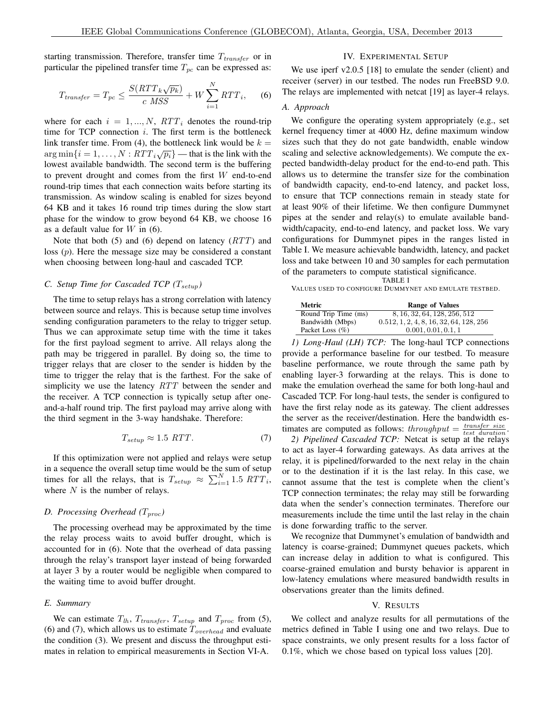starting transmission. Therefore, transfer time  $T_{transfer}$  or in particular the pipelined transfer time  $T_{pc}$  can be expressed as:

$$
T_{transfer} = T_{pc} \le \frac{S(RTT_k\sqrt{p_k})}{c\;MSS} + W\sum_{i=1}^{N} RTT_i,\qquad(6)
$$

where for each  $i = 1, ..., N$ ,  $RTT_i$  denotes the round-trip time for TCP connection  $i$ . The first term is the bottleneck link transfer time. From (4), the bottleneck link would be  $k =$ arg min $\{i = 1, ..., N : RTT_i\sqrt{p_i}\}$  — that is the link with the lowest available bandwidth. The second term is the buffering to prevent drought and comes from the first W end-to-end round-trip times that each connection waits before starting its transmission. As window scaling is enabled for sizes beyond 64 KB and it takes 16 round trip times during the slow start phase for the window to grow beyond 64 KB, we choose 16 as a default value for  $W$  in (6).

Note that both  $(5)$  and  $(6)$  depend on latency  $(RTT)$  and loss (p). Here the message size may be considered a constant when choosing between long-haul and cascaded TCP.

## *C. Setup Time for Cascaded TCP*  $(T<sub>setup</sub>)$

The time to setup relays has a strong correlation with latency between source and relays. This is because setup time involves sending configuration parameters to the relay to trigger setup. Thus we can approximate setup time with the time it takes for the first payload segment to arrive. All relays along the path may be triggered in parallel. By doing so, the time to trigger relays that are closer to the sender is hidden by the time to trigger the relay that is the farthest. For the sake of simplicity we use the latency RTT between the sender and the receiver. A TCP connection is typically setup after oneand-a-half round trip. The first payload may arrive along with the third segment in the 3-way handshake. Therefore:

$$
T_{setup} \approx 1.5 \, RTT. \tag{7}
$$

If this optimization were not applied and relays were setup in a sequence the overall setup time would be the sum of setup times for all the relays, that is  $T_{setup} \approx \sum_{i=1}^{N} 1.5 \, RTT_i$ , where  $N$  is the number of relays.

# *D. Processing Overhead (*Tproc*)*

The processing overhead may be approximated by the time the relay process waits to avoid buffer drought, which is accounted for in (6). Note that the overhead of data passing through the relay's transport layer instead of being forwarded at layer 3 by a router would be negligible when compared to the waiting time to avoid buffer drought.

#### *E. Summary*

We can estimate  $T_{lh}$ ,  $T_{transfer}$ ,  $T_{setup}$  and  $T_{proc}$  from (5), (6) and (7), which allows us to estimate  $T_{overhead}$  and evaluate the condition (3). We present and discuss the throughput estimates in relation to empirical measurements in Section VI-A.

#### IV. EXPERIMENTAL SETUP

We use iperf v2.0.5 [18] to emulate the sender (client) and receiver (server) in our testbed. The nodes run FreeBSD 9.0. The relays are implemented with netcat [19] as layer-4 relays.

## *A. Approach*

We configure the operating system appropriately (e.g., set kernel frequency timer at 4000 Hz, define maximum window sizes such that they do not gate bandwidth, enable window scaling and selective acknowledgements). We compute the expected bandwidth-delay product for the end-to-end path. This allows us to determine the transfer size for the combination of bandwidth capacity, end-to-end latency, and packet loss, to ensure that TCP connections remain in steady state for at least 90% of their lifetime. We then configure Dummynet pipes at the sender and relay(s) to emulate available bandwidth/capacity, end-to-end latency, and packet loss. We vary configurations for Dummynet pipes in the ranges listed in Table I. We measure achievable bandwidth, latency, and packet loss and take between 10 and 30 samples for each permutation of the parameters to compute statistical significance. TABLE I

VALUES USED TO CONFIGURE DUMMYNET AND EMULATE TESTBED.

| <b>Metric</b>        | <b>Range of Values</b>                    |
|----------------------|-------------------------------------------|
| Round Trip Time (ms) | 8, 16, 32, 64, 128, 256, 512              |
| Bandwidth (Mbps)     | $0.512, 1, 2, 4, 8, 16, 32, 64, 128, 256$ |
| Packet Loss $(\% )$  | 0.001, 0.01, 0.1, 1                       |

*1) Long-Haul (LH) TCP:* The long-haul TCP connections provide a performance baseline for our testbed. To measure baseline performance, we route through the same path by enabling layer-3 forwarding at the relays. This is done to make the emulation overhead the same for both long-haul and Cascaded TCP. For long-haul tests, the sender is configured to have the first relay node as its gateway. The client addresses the server as the receiver/destination. Here the bandwidth estimates are computed as follows: *throughput* =  $\frac{transfer\ size}{test\ duration}$ .

*2) Pipelined Cascaded TCP:* Netcat is setup at the relays to act as layer-4 forwarding gateways. As data arrives at the relay, it is pipelined/forwarded to the next relay in the chain or to the destination if it is the last relay. In this case, we cannot assume that the test is complete when the client's TCP connection terminates; the relay may still be forwarding data when the sender's connection terminates. Therefore our measurements include the time until the last relay in the chain is done forwarding traffic to the server.

We recognize that Dummynet's emulation of bandwidth and latency is coarse-grained; Dummynet queues packets, which can increase delay in addition to what is configured. This coarse-grained emulation and bursty behavior is apparent in low-latency emulations where measured bandwidth results in observations greater than the limits defined.

#### V. RESULTS

We collect and analyze results for all permutations of the metrics defined in Table I using one and two relays. Due to space constraints, we only present results for a loss factor of 0.1%, which we chose based on typical loss values [20].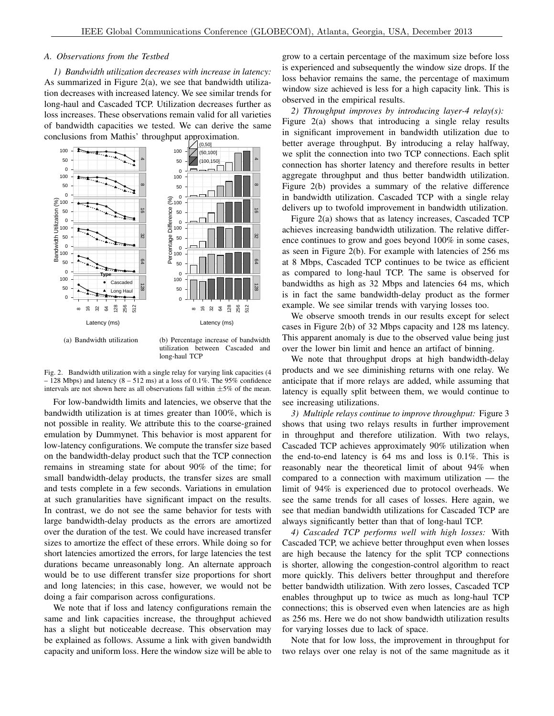#### *A. Observations from the Testbed*

*1) Bandwidth utilization decreases with increase in latency:* As summarized in Figure 2(a), we see that bandwidth utilization decreases with increased latency. We see similar trends for long-haul and Cascaded TCP. Utilization decreases further as loss increases. These observations remain valid for all varieties of bandwidth capacities we tested. We can derive the same conclusions from Mathis' throughput approximation.



(a) Bandwidth utilization

(b) Percentage increase of bandwidth utilization between Cascaded and long-haul TCP

Fig. 2. Bandwidth utilization with a single relay for varying link capacities (4  $-128$  Mbps) and latency  $(8 - 512 \text{ ms})$  at a loss of 0.1%. The 95% confidence intervals are not shown here as all observations fall within  $\pm 5\%$  of the mean.

For low-bandwidth limits and latencies, we observe that the bandwidth utilization is at times greater than 100%, which is not possible in reality. We attribute this to the coarse-grained emulation by Dummynet. This behavior is most apparent for low-latency configurations. We compute the transfer size based on the bandwidth-delay product such that the TCP connection remains in streaming state for about 90% of the time; for small bandwidth-delay products, the transfer sizes are small and tests complete in a few seconds. Variations in emulation at such granularities have significant impact on the results. In contrast, we do not see the same behavior for tests with large bandwidth-delay products as the errors are amortized over the duration of the test. We could have increased transfer sizes to amortize the effect of these errors. While doing so for short latencies amortized the errors, for large latencies the test durations became unreasonably long. An alternate approach would be to use different transfer size proportions for short and long latencies; in this case, however, we would not be doing a fair comparison across configurations.

We note that if loss and latency configurations remain the same and link capacities increase, the throughput achieved has a slight but noticeable decrease. This observation may be explained as follows. Assume a link with given bandwidth capacity and uniform loss. Here the window size will be able to

grow to a certain percentage of the maximum size before loss is experienced and subsequently the window size drops. If the loss behavior remains the same, the percentage of maximum window size achieved is less for a high capacity link. This is observed in the empirical results.

*2) Throughput improves by introducing layer-4 relay(s):* Figure 2(a) shows that introducing a single relay results in significant improvement in bandwidth utilization due to better average throughput. By introducing a relay halfway, we split the connection into two TCP connections. Each split connection has shorter latency and therefore results in better aggregate throughput and thus better bandwidth utilization. Figure 2(b) provides a summary of the relative difference in bandwidth utilization. Cascaded TCP with a single relay delivers up to twofold improvement in bandwidth utilization.

Figure 2(a) shows that as latency increases, Cascaded TCP achieves increasing bandwidth utilization. The relative difference continues to grow and goes beyond 100% in some cases, as seen in Figure 2(b). For example with latencies of 256 ms at 8 Mbps, Cascaded TCP continues to be twice as efficient as compared to long-haul TCP. The same is observed for bandwidths as high as 32 Mbps and latencies 64 ms, which is in fact the same bandwidth-delay product as the former example. We see similar trends with varying losses too.

We observe smooth trends in our results except for select cases in Figure 2(b) of 32 Mbps capacity and 128 ms latency. This apparent anomaly is due to the observed value being just over the lower bin limit and hence an artifact of binning.

We note that throughput drops at high bandwidth-delay products and we see diminishing returns with one relay. We anticipate that if more relays are added, while assuming that latency is equally split between them, we would continue to see increasing utilizations.

*3) Multiple relays continue to improve throughput:* Figure 3 shows that using two relays results in further improvement in throughput and therefore utilization. With two relays, Cascaded TCP achieves approximately 90% utilization when the end-to-end latency is 64 ms and loss is 0.1%. This is reasonably near the theoretical limit of about 94% when compared to a connection with maximum utilization — the limit of 94% is experienced due to protocol overheads. We see the same trends for all cases of losses. Here again, we see that median bandwidth utilizations for Cascaded TCP are always significantly better than that of long-haul TCP.

*4) Cascaded TCP performs well with high losses:* With Cascaded TCP, we achieve better throughput even when losses are high because the latency for the split TCP connections is shorter, allowing the congestion-control algorithm to react more quickly. This delivers better throughput and therefore better bandwidth utilization. With zero losses, Cascaded TCP enables throughput up to twice as much as long-haul TCP connections; this is observed even when latencies are as high as 256 ms. Here we do not show bandwidth utilization results for varying losses due to lack of space.

Note that for low loss, the improvement in throughput for two relays over one relay is not of the same magnitude as it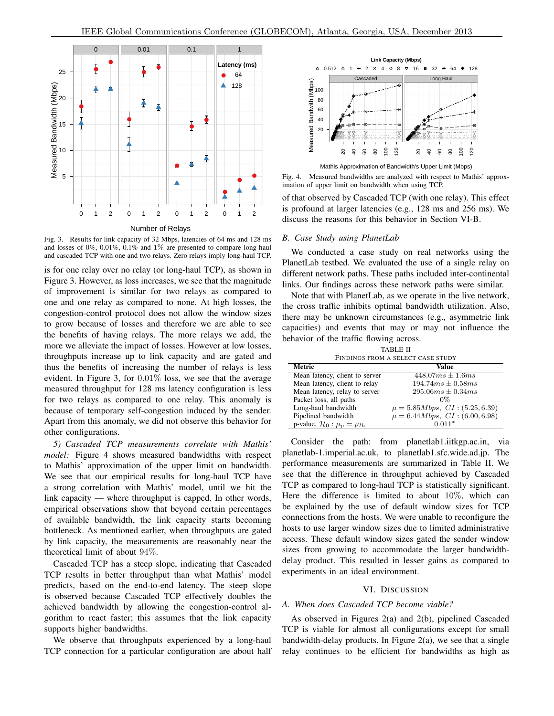

Fig. 3. Results for link capacity of 32 Mbps, latencies of 64 ms and 128 ms and losses of 0%, 0.01%, 0.1% and 1% are presented to compare long-haul and cascaded TCP with one and two relays. Zero relays imply long-haul TCP.

is for one relay over no relay (or long-haul TCP), as shown in Figure 3. However, as loss increases, we see that the magnitude of improvement is similar for two relays as compared to one and one relay as compared to none. At high losses, the congestion-control protocol does not allow the window sizes to grow because of losses and therefore we are able to see the benefits of having relays. The more relays we add, the more we alleviate the impact of losses. However at low losses, throughputs increase up to link capacity and are gated and thus the benefits of increasing the number of relays is less evident. In Figure 3, for 0.01% loss, we see that the average measured throughput for 128 ms latency configuration is less for two relays as compared to one relay. This anomaly is because of temporary self-congestion induced by the sender. Apart from this anomaly, we did not observe this behavior for other configurations.

*5) Cascaded TCP measurements correlate with Mathis' model:* Figure 4 shows measured bandwidths with respect to Mathis' approximation of the upper limit on bandwidth. We see that our empirical results for long-haul TCP have a strong correlation with Mathis' model, until we hit the link capacity — where throughput is capped. In other words, empirical observations show that beyond certain percentages of available bandwidth, the link capacity starts becoming bottleneck. As mentioned earlier, when throughputs are gated by link capacity, the measurements are reasonably near the theoretical limit of about 94%.

Cascaded TCP has a steep slope, indicating that Cascaded TCP results in better throughput than what Mathis' model predicts, based on the end-to-end latency. The steep slope is observed because Cascaded TCP effectively doubles the achieved bandwidth by allowing the congestion-control algorithm to react faster; this assumes that the link capacity supports higher bandwidths.

We observe that throughputs experienced by a long-haul TCP connection for a particular configuration are about half



Fig. 4. Measured bandwidths are analyzed with respect to Mathis' approximation of upper limit on bandwidth when using TCP.

of that observed by Cascaded TCP (with one relay). This effect is profound at larger latencies (e.g., 128 ms and 256 ms). We discuss the reasons for this behavior in Section VI-B.

#### *B. Case Study using PlanetLab*

÷, L

We conducted a case study on real networks using the PlanetLab testbed. We evaluated the use of a single relay on different network paths. These paths included inter-continental links. Our findings across these network paths were similar.

Note that with PlanetLab, as we operate in the live network, the cross traffic inhibits optimal bandwidth utilization. Also, there may be unknown circumstances (e.g., asymmetric link capacities) and events that may or may not influence the behavior of the traffic flowing across.

| TABLE II                                      |                                    |  |
|-----------------------------------------------|------------------------------------|--|
| FINDINGS FROM A SELECT CASE STUDY             |                                    |  |
| Metric                                        | Value                              |  |
| Mean latency, client to server                | $448.07ms \pm 1.6ms$               |  |
| Mean latency, client to relay                 | $194.74ms \pm 0.58ms$              |  |
| Mean latency, relay to server                 | $295.06ms \pm 0.34ms$              |  |
| Packet loss, all paths                        | $0\%$                              |  |
| Long-haul bandwidth                           | $\mu = 5.85Mbps, CI: (5.25, 6.39)$ |  |
| Pipelined bandwidth                           | $\mu = 6.44Mbps, CI: (6.00, 6.98)$ |  |
| p-value, $\mathcal{H}_0$ : $\mu_p = \mu_{lh}$ | $0.011*$                           |  |

Consider the path: from planetlab1.iitkgp.ac.in, via planetlab-1.imperial.ac.uk, to planetlab1.sfc.wide.ad.jp. The performance measurements are summarized in Table II. We see that the difference in throughput achieved by Cascaded TCP as compared to long-haul TCP is statistically significant. Here the difference is limited to about  $10\%$ , which can be explained by the use of default window sizes for TCP connections from the hosts. We were unable to reconfigure the hosts to use larger window sizes due to limited administrative access. These default window sizes gated the sender window sizes from growing to accommodate the larger bandwidthdelay product. This resulted in lesser gains as compared to experiments in an ideal environment.

#### VI. DISCUSSION

#### *A. When does Cascaded TCP become viable?*

As observed in Figures 2(a) and 2(b), pipelined Cascaded TCP is viable for almost all configurations except for small bandwidth-delay products. In Figure 2(a), we see that a single relay continues to be efficient for bandwidths as high as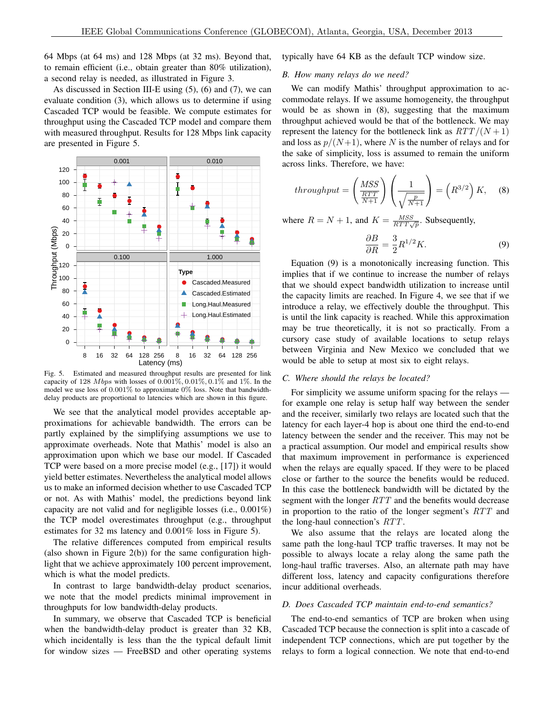64 Mbps (at 64 ms) and 128 Mbps (at 32 ms). Beyond that, to remain efficient (i.e., obtain greater than 80% utilization), a second relay is needed, as illustrated in Figure 3.

As discussed in Section III-E using (5), (6) and (7), we can evaluate condition (3), which allows us to determine if using Cascaded TCP would be feasible. We compute estimates for throughput using the Cascaded TCP model and compare them with measured throughput. Results for 128 Mbps link capacity are presented in Figure 5.



Fig. 5. Estimated and measured throughput results are presented for link capacity of 128 Mbps with losses of  $0.001\%, 0.01\%, 0.1\%$  and 1%. In the model we use loss of  $0.001\%$  to approximate  $0\%$  loss. Note that bandwidthdelay products are proportional to latencies which are shown in this figure.

We see that the analytical model provides acceptable approximations for achievable bandwidth. The errors can be partly explained by the simplifying assumptions we use to approximate overheads. Note that Mathis' model is also an approximation upon which we base our model. If Cascaded TCP were based on a more precise model (e.g., [17]) it would yield better estimates. Nevertheless the analytical model allows us to make an informed decision whether to use Cascaded TCP or not. As with Mathis' model, the predictions beyond link capacity are not valid and for negligible losses (i.e., 0.001%) the TCP model overestimates throughput (e.g., throughput estimates for 32 ms latency and 0.001% loss in Figure 5).

The relative differences computed from empirical results (also shown in Figure  $2(b)$ ) for the same configuration highlight that we achieve approximately 100 percent improvement, which is what the model predicts.

In contrast to large bandwidth-delay product scenarios, we note that the model predicts minimal improvement in throughputs for low bandwidth-delay products.

In summary, we observe that Cascaded TCP is beneficial when the bandwidth-delay product is greater than 32 KB, which incidentally is less than the the typical default limit for window sizes — FreeBSD and other operating systems typically have 64 KB as the default TCP window size.

#### *B. How many relays do we need?*

We can modify Mathis' throughput approximation to accommodate relays. If we assume homogeneity, the throughput would be as shown in (8), suggesting that the maximum throughput achieved would be that of the bottleneck. We may represent the latency for the bottleneck link as  $RTT/(N+1)$ and loss as  $p/(N+1)$ , where N is the number of relays and for the sake of simplicity, loss is assumed to remain the uniform across links. Therefore, we have:

$$
throughput = \left(\frac{MSS}{\frac{RTT}{N+1}}\right)\left(\frac{1}{\sqrt{\frac{p}{N+1}}}\right) = \left(R^{3/2}\right)K,\quad (8)
$$

where  $R = N + 1$ , and  $K = \frac{MSS}{RTT\sqrt{p}}$ . Subsequently,

$$
\frac{\partial B}{\partial R} = \frac{3}{2} R^{1/2} K. \tag{9}
$$

Equation (9) is a monotonically increasing function. This implies that if we continue to increase the number of relays that we should expect bandwidth utilization to increase until the capacity limits are reached. In Figure 4, we see that if we introduce a relay, we effectively double the throughput. This is until the link capacity is reached. While this approximation may be true theoretically, it is not so practically. From a cursory case study of available locations to setup relays between Virginia and New Mexico we concluded that we would be able to setup at most six to eight relays.

## *C. Where should the relays be located?*

For simplicity we assume uniform spacing for the relays for example one relay is setup half way between the sender and the receiver, similarly two relays are located such that the latency for each layer-4 hop is about one third the end-to-end latency between the sender and the receiver. This may not be a practical assumption. Our model and empirical results show that maximum improvement in performance is experienced when the relays are equally spaced. If they were to be placed close or farther to the source the benefits would be reduced. In this case the bottleneck bandwidth will be dictated by the segment with the longer RTT and the benefits would decrease in proportion to the ratio of the longer segment's RTT and the long-haul connection's RTT.

We also assume that the relays are located along the same path the long-haul TCP traffic traverses. It may not be possible to always locate a relay along the same path the long-haul traffic traverses. Also, an alternate path may have different loss, latency and capacity configurations therefore incur additional overheads.

## *D. Does Cascaded TCP maintain end-to-end semantics?*

The end-to-end semantics of TCP are broken when using Cascaded TCP because the connection is split into a cascade of independent TCP connections, which are put together by the relays to form a logical connection. We note that end-to-end